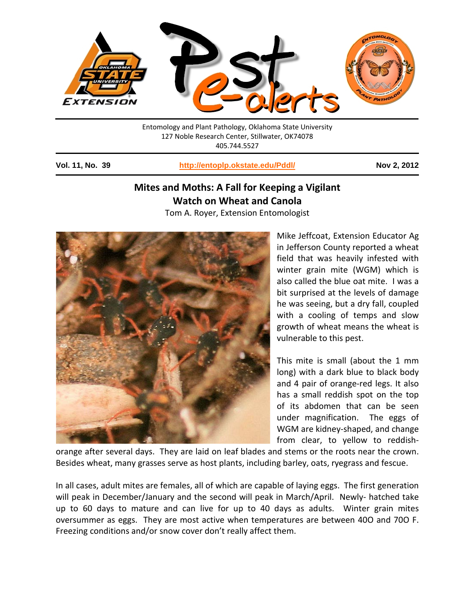

Entomology and Plant Pathology, Oklahoma State University 127 Noble Research Center, Stillwater, OK74078 405.744.5527

**Vol. 11, No. 39 <http://entoplp.okstate.edu/Pddl/> Nov 2, 2012**

## **Mites and Moths: A Fall for Keeping a Vigilant Watch on Wheat and Canola**

Tom A. Royer, Extension Entomologist



Mike Jeffcoat, Extension Educator Ag in Jefferson County reported a wheat field that was heavily infested with winter grain mite (WGM) which is also called the blue oat mite. I was a bit surprised at the levels of damage he was seeing, but a dry fall, coupled with a cooling of temps and slow growth of wheat means the wheat is vulnerable to this pest.

This mite is small (about the 1 mm long) with a dark blue to black body and 4 pair of orange-red legs. It also has a small reddish spot on the top of its abdomen that can be seen under magnification. The eggs of WGM are kidney-shaped, and change from clear, to yellow to reddish-

orange after several days. They are laid on leaf blades and stems or the roots near the crown. Besides wheat, many grasses serve as host plants, including barley, oats, ryegrass and fescue.

In all cases, adult mites are females, all of which are capable of laying eggs. The first generation will peak in December/January and the second will peak in March/April. Newly- hatched take up to 60 days to mature and can live for up to 40 days as adults. Winter grain mites oversummer as eggs. They are most active when temperatures are between 40O and 70O F. Freezing conditions and/or snow cover don't really affect them.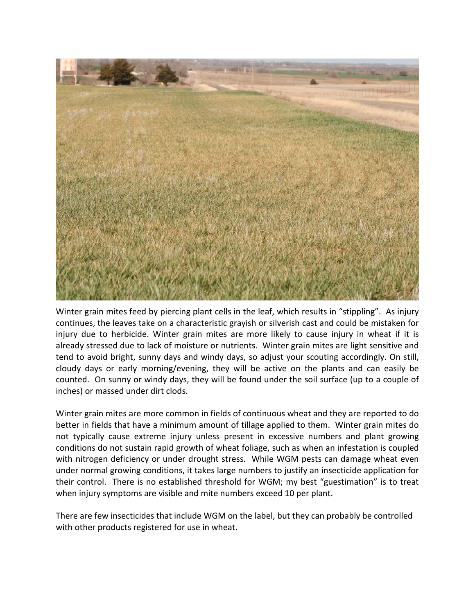

Winter grain mites feed by piercing plant cells in the leaf, which results in "stippling". As injury continues, the leaves take on a characteristic grayish or silverish cast and could be mistaken for injury due to herbicide. Winter grain mites are more likely to cause injury in wheat if it is already stressed due to lack of moisture or nutrients. Winter grain mites are light sensitive and tend to avoid bright, sunny days and windy days, so adjust your scouting accordingly. On still, cloudy days or early morning/evening, they will be active on the plants and can easily be counted. On sunny or windy days, they will be found under the soil surface (up to a couple of inches) or massed under dirt clods.

Winter grain mites are more common in fields of continuous wheat and they are reported to do better in fields that have a minimum amount of tillage applied to them. Winter grain mites do not typically cause extreme injury unless present in excessive numbers and plant growing conditions do not sustain rapid growth of wheat foliage, such as when an infestation is coupled with nitrogen deficiency or under drought stress. While WGM pests can damage wheat even under normal growing conditions, it takes large numbers to justify an insecticide application for their control. There is no established threshold for WGM; my best "guestimation" is to treat when injury symptoms are visible and mite numbers exceed 10 per plant.

There are few insecticides that include WGM on the label, but they can probably be controlled with other products registered for use in wheat.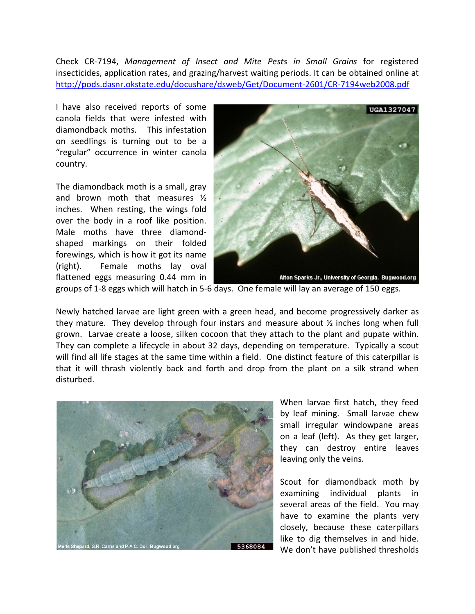Check CR-7194, *Management of Insect and Mite Pests in Small Grains* for registered insecticides, application rates, and grazing/harvest waiting periods. It can be obtained online at <http://pods.dasnr.okstate.edu/docushare/dsweb/Get/Document-2601/CR-7194web2008.pdf>

I have also received reports of some canola fields that were infested with diamondback moths. This infestation on seedlings is turning out to be a "regular" occurrence in winter canola country.

The diamondback moth is a small, gray and brown moth that measures ½ inches. When resting, the wings fold over the body in a roof like position. Male moths have three diamondshaped markings on their folded forewings, which is how it got its name (right). Female moths lay oval flattened eggs measuring 0.44 mm in



groups of 1-8 eggs which will hatch in 5-6 days. One female will lay an average of 150 eggs.

Newly hatched larvae are light green with a green head, and become progressively darker as they mature. They develop through four instars and measure about ½ inches long when full grown. Larvae create a loose, silken cocoon that they attach to the plant and pupate within. They can complete a lifecycle in about 32 days, depending on temperature. Typically a scout will find all life stages at the same time within a field. One distinct feature of this caterpillar is that it will thrash violently back and forth and drop from the plant on a silk strand when disturbed.



When larvae first hatch, they feed by leaf mining. Small larvae chew small irregular windowpane areas on a leaf (left). As they get larger, they can destroy entire leaves leaving only the veins.

Scout for diamondback moth by examining individual plants in several areas of the field. You may have to examine the plants very closely, because these caterpillars like to dig themselves in and hide. We don't have published thresholds